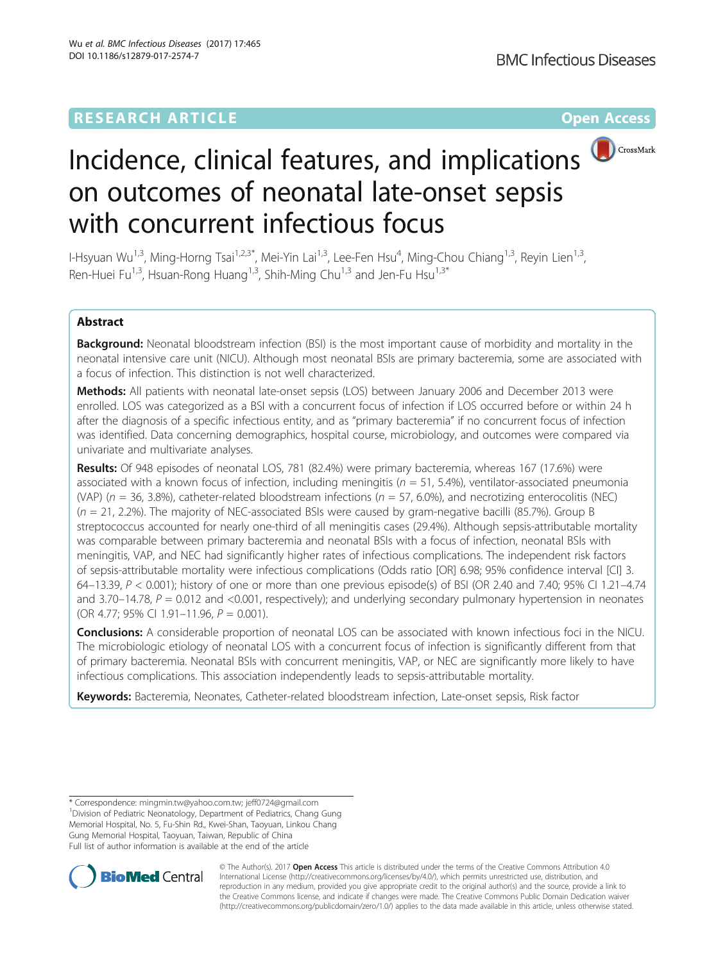

# Incidence, clinical features, and implications on outcomes of neonatal late-onset sepsis with concurrent infectious focus

I-Hsyuan Wu<sup>1,3</sup>, Ming-Horng Tsai<sup>1,2,3\*</sup>, Mei-Yin Lai<sup>1,3</sup>, Lee-Fen Hsu<sup>4</sup>, Ming-Chou Chiang<sup>1,3</sup>, Reyin Lien<sup>1,3</sup>, Ren-Huei Fu<sup>1,3</sup>, Hsuan-Rong Huang<sup>1,3</sup>, Shih-Ming Chu<sup>1,3</sup> and Jen-Fu Hsu<sup>1,3\*</sup>

# Abstract

**Background:** Neonatal bloodstream infection (BSI) is the most important cause of morbidity and mortality in the neonatal intensive care unit (NICU). Although most neonatal BSIs are primary bacteremia, some are associated with a focus of infection. This distinction is not well characterized.

Methods: All patients with neonatal late-onset sepsis (LOS) between January 2006 and December 2013 were enrolled. LOS was categorized as a BSI with a concurrent focus of infection if LOS occurred before or within 24 h after the diagnosis of a specific infectious entity, and as "primary bacteremia" if no concurrent focus of infection was identified. Data concerning demographics, hospital course, microbiology, and outcomes were compared via univariate and multivariate analyses.

Results: Of 948 episodes of neonatal LOS, 781 (82.4%) were primary bacteremia, whereas 167 (17.6%) were associated with a known focus of infection, including meningitis ( $n = 51$ , 5.4%), ventilator-associated pneumonia (VAP) ( $n = 36, 3.8\%$ ), catheter-related bloodstream infections ( $n = 57, 6.0\%$ ), and necrotizing enterocolitis (NEC)  $(n = 21, 2.2%)$ . The majority of NEC-associated BSIs were caused by gram-negative bacilli (85.7%). Group B streptococcus accounted for nearly one-third of all meningitis cases (29.4%). Although sepsis-attributable mortality was comparable between primary bacteremia and neonatal BSIs with a focus of infection, neonatal BSIs with meningitis, VAP, and NEC had significantly higher rates of infectious complications. The independent risk factors of sepsis-attributable mortality were infectious complications (Odds ratio [OR] 6.98; 95% confidence interval [CI] 3. 64–13.39,  $P < 0.001$ ); history of one or more than one previous episode(s) of BSI (OR 2.40 and 7.40; 95% CI 1.21–4.74 and 3.70–14.78,  $P = 0.012$  and <0.001, respectively); and underlying secondary pulmonary hypertension in neonates (OR 4.77; 95% CI 1.91-11.96,  $P = 0.001$ ).

**Conclusions:** A considerable proportion of neonatal LOS can be associated with known infectious foci in the NICU. The microbiologic etiology of neonatal LOS with a concurrent focus of infection is significantly different from that of primary bacteremia. Neonatal BSIs with concurrent meningitis, VAP, or NEC are significantly more likely to have infectious complications. This association independently leads to sepsis-attributable mortality.

Keywords: Bacteremia, Neonates, Catheter-related bloodstream infection, Late-onset sepsis, Risk factor

\* Correspondence: [mingmin.tw@yahoo.com.tw](mailto:mingmin.tw@yahoo.com.tw); [jeff0724@gmail.com](mailto:jeff0724@gmail.com) <sup>1</sup> <sup>1</sup> Division of Pediatric Neonatology, Department of Pediatrics, Chang Gung Memorial Hospital, No. 5, Fu-Shin Rd., Kwei-Shan, Taoyuan, Linkou Chang Gung Memorial Hospital, Taoyuan, Taiwan, Republic of China Full list of author information is available at the end of the article



© The Author(s). 2017 **Open Access** This article is distributed under the terms of the Creative Commons Attribution 4.0 International License [\(http://creativecommons.org/licenses/by/4.0/](http://creativecommons.org/licenses/by/4.0/)), which permits unrestricted use, distribution, and reproduction in any medium, provided you give appropriate credit to the original author(s) and the source, provide a link to the Creative Commons license, and indicate if changes were made. The Creative Commons Public Domain Dedication waiver [\(http://creativecommons.org/publicdomain/zero/1.0/](http://creativecommons.org/publicdomain/zero/1.0/)) applies to the data made available in this article, unless otherwise stated.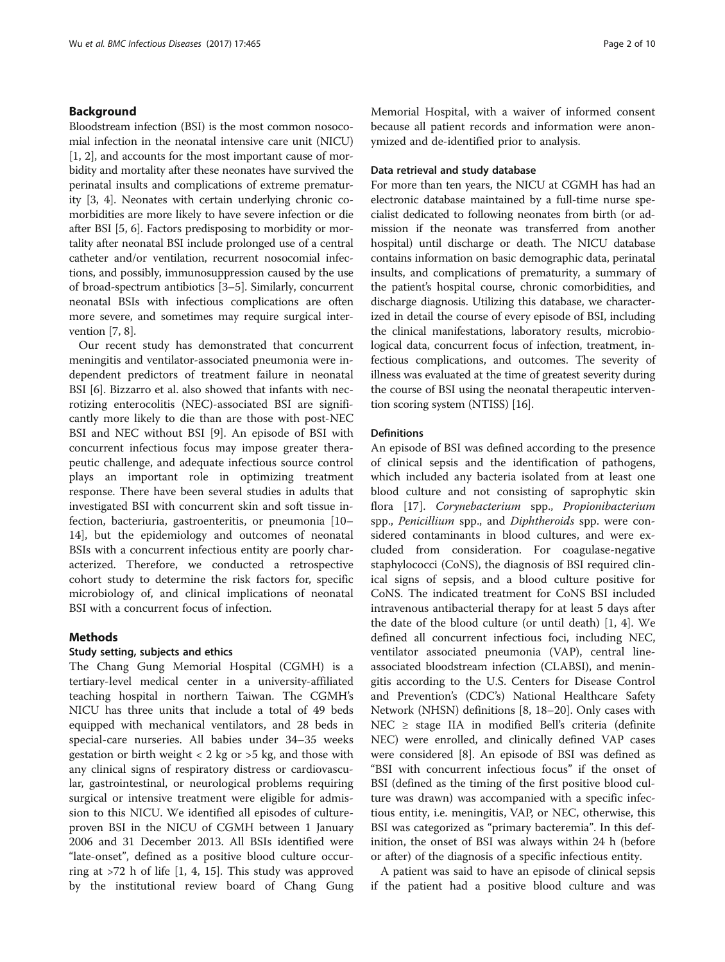## Background

Bloodstream infection (BSI) is the most common nosocomial infection in the neonatal intensive care unit (NICU) [[1, 2](#page-8-0)], and accounts for the most important cause of morbidity and mortality after these neonates have survived the perinatal insults and complications of extreme prematurity [\[3, 4](#page-8-0)]. Neonates with certain underlying chronic comorbidities are more likely to have severe infection or die after BSI [[5](#page-8-0), [6](#page-8-0)]. Factors predisposing to morbidity or mortality after neonatal BSI include prolonged use of a central catheter and/or ventilation, recurrent nosocomial infections, and possibly, immunosuppression caused by the use of broad-spectrum antibiotics [\[3](#page-8-0)–[5\]](#page-8-0). Similarly, concurrent neonatal BSIs with infectious complications are often more severe, and sometimes may require surgical intervention [\[7](#page-8-0), [8\]](#page-8-0).

Our recent study has demonstrated that concurrent meningitis and ventilator-associated pneumonia were independent predictors of treatment failure in neonatal BSI [[6\]](#page-8-0). Bizzarro et al. also showed that infants with necrotizing enterocolitis (NEC)-associated BSI are significantly more likely to die than are those with post-NEC BSI and NEC without BSI [[9\]](#page-8-0). An episode of BSI with concurrent infectious focus may impose greater therapeutic challenge, and adequate infectious source control plays an important role in optimizing treatment response. There have been several studies in adults that investigated BSI with concurrent skin and soft tissue infection, bacteriuria, gastroenteritis, or pneumonia [[10](#page-8-0)– [14\]](#page-8-0), but the epidemiology and outcomes of neonatal BSIs with a concurrent infectious entity are poorly characterized. Therefore, we conducted a retrospective cohort study to determine the risk factors for, specific microbiology of, and clinical implications of neonatal BSI with a concurrent focus of infection.

## Methods

## Study setting, subjects and ethics

The Chang Gung Memorial Hospital (CGMH) is a tertiary-level medical center in a university-affiliated teaching hospital in northern Taiwan. The CGMH's NICU has three units that include a total of 49 beds equipped with mechanical ventilators, and 28 beds in special-care nurseries. All babies under 34–35 weeks gestation or birth weight  $<$  2 kg or  $>$ 5 kg, and those with any clinical signs of respiratory distress or cardiovascular, gastrointestinal, or neurological problems requiring surgical or intensive treatment were eligible for admission to this NICU. We identified all episodes of cultureproven BSI in the NICU of CGMH between 1 January 2006 and 31 December 2013. All BSIs identified were "late-onset", defined as a positive blood culture occurring at >72 h of life [\[1](#page-8-0), [4](#page-8-0), [15\]](#page-8-0). This study was approved by the institutional review board of Chang Gung Memorial Hospital, with a waiver of informed consent because all patient records and information were anonymized and de-identified prior to analysis.

## Data retrieval and study database

For more than ten years, the NICU at CGMH has had an electronic database maintained by a full-time nurse specialist dedicated to following neonates from birth (or admission if the neonate was transferred from another hospital) until discharge or death. The NICU database contains information on basic demographic data, perinatal insults, and complications of prematurity, a summary of the patient's hospital course, chronic comorbidities, and discharge diagnosis. Utilizing this database, we characterized in detail the course of every episode of BSI, including the clinical manifestations, laboratory results, microbiological data, concurrent focus of infection, treatment, infectious complications, and outcomes. The severity of illness was evaluated at the time of greatest severity during the course of BSI using the neonatal therapeutic intervention scoring system (NTISS) [[16](#page-8-0)].

## **Definitions**

An episode of BSI was defined according to the presence of clinical sepsis and the identification of pathogens, which included any bacteria isolated from at least one blood culture and not consisting of saprophytic skin flora [[17](#page-8-0)]. Corynebacterium spp., Propionibacterium spp., Penicillium spp., and Diphtheroids spp. were considered contaminants in blood cultures, and were excluded from consideration. For coagulase-negative staphylococci (CoNS), the diagnosis of BSI required clinical signs of sepsis, and a blood culture positive for CoNS. The indicated treatment for CoNS BSI included intravenous antibacterial therapy for at least 5 days after the date of the blood culture (or until death) [[1, 4](#page-8-0)]. We defined all concurrent infectious foci, including NEC, ventilator associated pneumonia (VAP), central lineassociated bloodstream infection (CLABSI), and meningitis according to the U.S. Centers for Disease Control and Prevention's (CDC's) National Healthcare Safety Network (NHSN) definitions [[8, 18](#page-8-0)–[20](#page-9-0)]. Only cases with NEC ≥ stage IIA in modified Bell's criteria (definite NEC) were enrolled, and clinically defined VAP cases were considered [[8\]](#page-8-0). An episode of BSI was defined as "BSI with concurrent infectious focus" if the onset of BSI (defined as the timing of the first positive blood culture was drawn) was accompanied with a specific infectious entity, i.e. meningitis, VAP, or NEC, otherwise, this BSI was categorized as "primary bacteremia". In this definition, the onset of BSI was always within 24 h (before or after) of the diagnosis of a specific infectious entity.

A patient was said to have an episode of clinical sepsis if the patient had a positive blood culture and was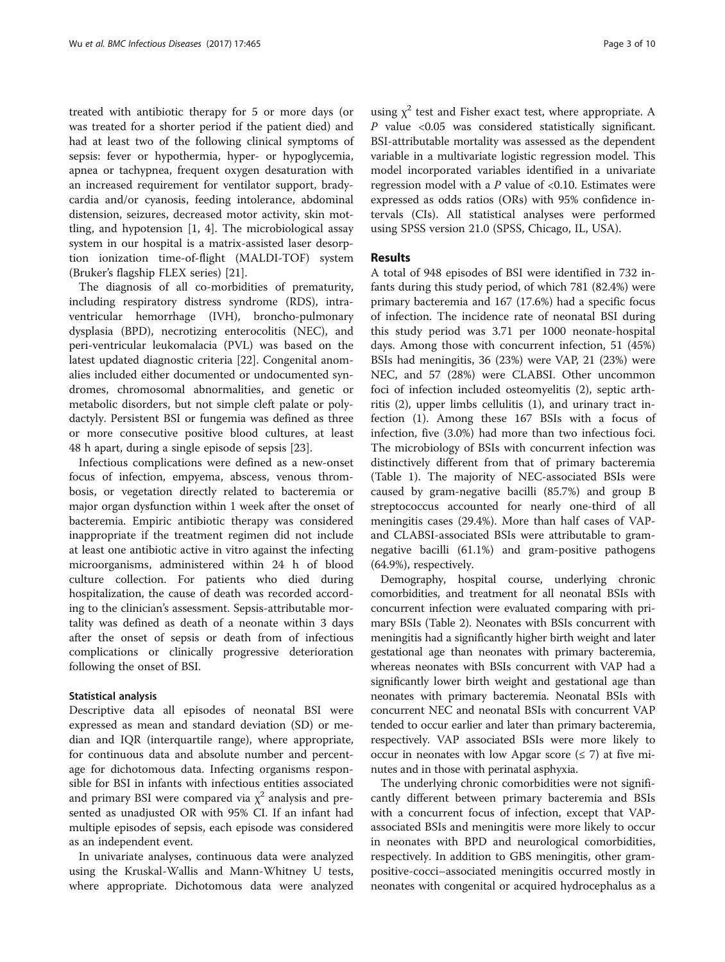treated with antibiotic therapy for 5 or more days (or was treated for a shorter period if the patient died) and had at least two of the following clinical symptoms of sepsis: fever or hypothermia, hyper- or hypoglycemia, apnea or tachypnea, frequent oxygen desaturation with an increased requirement for ventilator support, bradycardia and/or cyanosis, feeding intolerance, abdominal distension, seizures, decreased motor activity, skin mottling, and hypotension [\[1](#page-8-0), [4](#page-8-0)]. The microbiological assay system in our hospital is a matrix-assisted laser desorption ionization time-of-flight (MALDI-TOF) system (Bruker's flagship FLEX series) [\[21\]](#page-9-0).

The diagnosis of all co-morbidities of prematurity, including respiratory distress syndrome (RDS), intraventricular hemorrhage (IVH), broncho-pulmonary dysplasia (BPD), necrotizing enterocolitis (NEC), and peri-ventricular leukomalacia (PVL) was based on the latest updated diagnostic criteria [[22](#page-9-0)]. Congenital anomalies included either documented or undocumented syndromes, chromosomal abnormalities, and genetic or metabolic disorders, but not simple cleft palate or polydactyly. Persistent BSI or fungemia was defined as three or more consecutive positive blood cultures, at least 48 h apart, during a single episode of sepsis [[23](#page-9-0)].

Infectious complications were defined as a new-onset focus of infection, empyema, abscess, venous thrombosis, or vegetation directly related to bacteremia or major organ dysfunction within 1 week after the onset of bacteremia. Empiric antibiotic therapy was considered inappropriate if the treatment regimen did not include at least one antibiotic active in vitro against the infecting microorganisms, administered within 24 h of blood culture collection. For patients who died during hospitalization, the cause of death was recorded according to the clinician's assessment. Sepsis-attributable mortality was defined as death of a neonate within 3 days after the onset of sepsis or death from of infectious complications or clinically progressive deterioration following the onset of BSI.

#### Statistical analysis

Descriptive data all episodes of neonatal BSI were expressed as mean and standard deviation (SD) or median and IQR (interquartile range), where appropriate, for continuous data and absolute number and percentage for dichotomous data. Infecting organisms responsible for BSI in infants with infectious entities associated and primary BSI were compared via  $\chi^2$  analysis and presented as unadjusted OR with 95% CI. If an infant had multiple episodes of sepsis, each episode was considered as an independent event.

In univariate analyses, continuous data were analyzed using the Kruskal-Wallis and Mann-Whitney U tests, where appropriate. Dichotomous data were analyzed

using  $\chi^2$  test and Fisher exact test, where appropriate. A P value <0.05 was considered statistically significant. BSI-attributable mortality was assessed as the dependent variable in a multivariate logistic regression model. This model incorporated variables identified in a univariate regression model with a  $P$  value of <0.10. Estimates were expressed as odds ratios (ORs) with 95% confidence intervals (CIs). All statistical analyses were performed using SPSS version 21.0 (SPSS, Chicago, IL, USA).

## Results

A total of 948 episodes of BSI were identified in 732 infants during this study period, of which 781 (82.4%) were primary bacteremia and 167 (17.6%) had a specific focus of infection. The incidence rate of neonatal BSI during this study period was 3.71 per 1000 neonate-hospital days. Among those with concurrent infection, 51 (45%) BSIs had meningitis, 36 (23%) were VAP, 21 (23%) were NEC, and 57 (28%) were CLABSI. Other uncommon foci of infection included osteomyelitis (2), septic arthritis (2), upper limbs cellulitis (1), and urinary tract infection (1). Among these 167 BSIs with a focus of infection, five (3.0%) had more than two infectious foci. The microbiology of BSIs with concurrent infection was distinctively different from that of primary bacteremia (Table [1](#page-3-0)). The majority of NEC-associated BSIs were caused by gram-negative bacilli (85.7%) and group B streptococcus accounted for nearly one-third of all meningitis cases (29.4%). More than half cases of VAPand CLABSI-associated BSIs were attributable to gramnegative bacilli (61.1%) and gram-positive pathogens (64.9%), respectively.

Demography, hospital course, underlying chronic comorbidities, and treatment for all neonatal BSIs with concurrent infection were evaluated comparing with primary BSIs (Table [2](#page-4-0)). Neonates with BSIs concurrent with meningitis had a significantly higher birth weight and later gestational age than neonates with primary bacteremia, whereas neonates with BSIs concurrent with VAP had a significantly lower birth weight and gestational age than neonates with primary bacteremia. Neonatal BSIs with concurrent NEC and neonatal BSIs with concurrent VAP tended to occur earlier and later than primary bacteremia, respectively. VAP associated BSIs were more likely to occur in neonates with low Apgar score  $(\leq 7)$  at five minutes and in those with perinatal asphyxia.

The underlying chronic comorbidities were not significantly different between primary bacteremia and BSIs with a concurrent focus of infection, except that VAPassociated BSIs and meningitis were more likely to occur in neonates with BPD and neurological comorbidities, respectively. In addition to GBS meningitis, other grampositive-cocci–associated meningitis occurred mostly in neonates with congenital or acquired hydrocephalus as a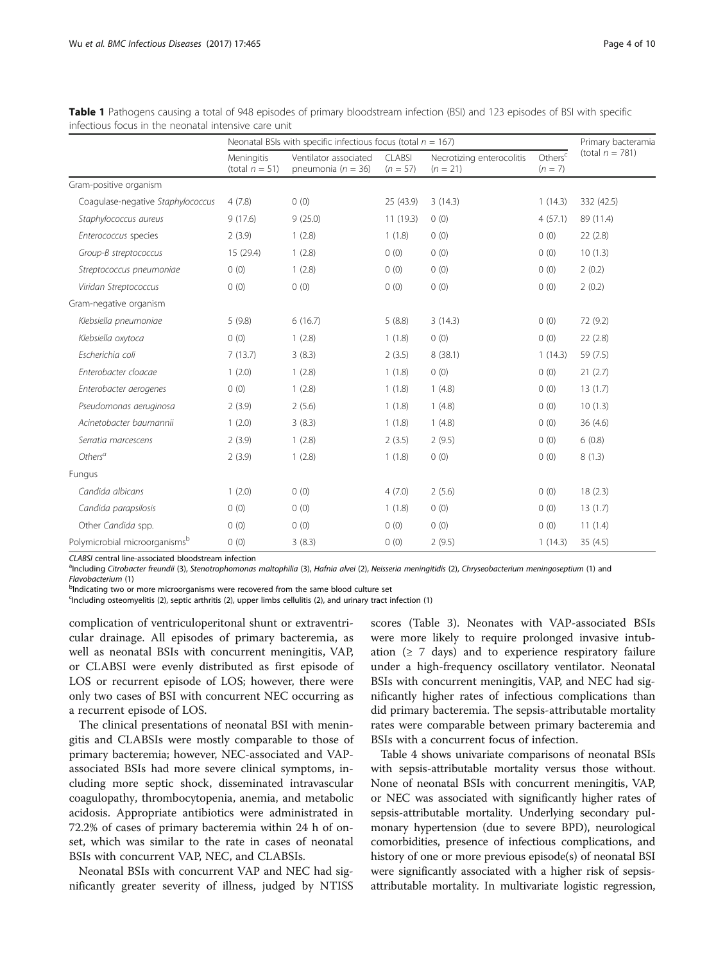|                                   | Neonatal BSIs with specific infectious focus (total $n = 167$ ) |                                                 |                             |                                         | Primary bacteramia               |                    |
|-----------------------------------|-----------------------------------------------------------------|-------------------------------------------------|-----------------------------|-----------------------------------------|----------------------------------|--------------------|
|                                   | Meningitis<br>(total $n = 51$ )                                 | Ventilator associated<br>pneumonia ( $n = 36$ ) | <b>CLABSI</b><br>$(n = 57)$ | Necrotizing enterocolitis<br>$(n = 21)$ | Others <sup>c</sup><br>$(n = 7)$ | (total $n = 781$ ) |
| Gram-positive organism            |                                                                 |                                                 |                             |                                         |                                  |                    |
| Coaqulase-negative Staphylococcus | 4(7.8)                                                          | (0)                                             | 25 (43.9)                   | 3(14.3)                                 | 1(14.3)                          | 332 (42.5)         |
| Staphylococcus aureus             | 9(17.6)                                                         | 9(25.0)                                         | 11(19.3)                    | 0(0)                                    | 4(57.1)                          | 89 (11.4)          |
| Enterococcus species              | 2(3.9)                                                          | 1(2.8)                                          | 1(1.8)                      | 0(0)                                    | 0(0)                             | 22(2.8)            |
| Group-B streptococcus             | 15 (29.4)                                                       | 1(2.8)                                          | 0(0)                        | 0(0)                                    | 0(0)                             | 10(1.3)            |
| Streptococcus pneumoniae          | 0(0)                                                            | 1(2.8)                                          | 0(0)                        | 0(0)                                    | 0(0)                             | 2(0.2)             |
| Viridan Streptococcus             | 0(0)                                                            | 0(0)                                            | 0(0)                        | 0(0)                                    | 0(0)                             | 2(0.2)             |
| Gram-negative organism            |                                                                 |                                                 |                             |                                         |                                  |                    |
| Klebsiella pneumoniae             | 5(9.8)                                                          | 6(16.7)                                         | 5(8.8)                      | 3(14.3)                                 | 0(0)                             | 72 (9.2)           |
| Klebsiella oxytoca                | 0(0)                                                            | 1(2.8)                                          | 1(1.8)                      | 0(0)                                    | 0(0)                             | 22(2.8)            |
| Escherichia coli                  | 7(13.7)                                                         | 3(8.3)                                          | 2(3.5)                      | 8(38.1)                                 | 1(14.3)                          | 59 (7.5)           |
| Enterobacter cloacae              | 1(2.0)                                                          | 1(2.8)                                          | 1(1.8)                      | 0(0)                                    | 0(0)                             | 21(2.7)            |
| Enterobacter aerogenes            | 0(0)                                                            | 1(2.8)                                          | 1(1.8)                      | 1(4.8)                                  | 0(0)                             | 13(1.7)            |
| Pseudomonas aeruginosa            | 2(3.9)                                                          | 2(5.6)                                          | 1(1.8)                      | 1(4.8)                                  | 0(0)                             | 10(1.3)            |
| Acinetobacter baumannii           | 1(2.0)                                                          | 3(8.3)                                          | 1(1.8)                      | 1(4.8)                                  | 0(0)                             | 36(4.6)            |
| Serratia marcescens               | 2(3.9)                                                          | 1(2.8)                                          | 2(3.5)                      | 2(9.5)                                  | 0(0)                             | 6(0.8)             |
| Others <sup>a</sup>               | 2(3.9)                                                          | 1(2.8)                                          | 1(1.8)                      | 0(0)                                    | 0(0)                             | 8(1.3)             |
| Fungus                            |                                                                 |                                                 |                             |                                         |                                  |                    |
| Candida albicans                  | 1(2.0)                                                          | 0(0)                                            | 4(7.0)                      | 2(5.6)                                  | 0(0)                             | 18(2.3)            |
| Candida parapsilosis              | 0(0)                                                            | 0(0)                                            | 1(1.8)                      | 0(0)                                    | 0(0)                             | 13(1.7)            |
| Other Candida spp.                | 0(0)                                                            | 0(0)                                            | 0(0)                        | 0(0)                                    | 0(0)                             | 11(1.4)            |
| Polymicrobial microorganismsb     | 0(0)                                                            | 3(8.3)                                          | 0(0)                        | 2(9.5)                                  | 1(14.3)                          | 35(4.5)            |

<span id="page-3-0"></span>Table 1 Pathogens causing a total of 948 episodes of primary bloodstream infection (BSI) and 123 episodes of BSI with specific infectious focus in the neonatal intensive care unit

CLABSI central line-associated bloodstream infection<br><sup>a</sup>Including Citrobacter freundii (3), Stenotrophomonas maltophilia (3), Hafnia alvei (2), Neisseria meningitidis (2), Chryseobacterium meningoseptium (1) and Flavobacterium (1) <sup>b</sup>

<sup>b</sup>Indicating two or more microorganisms were recovered from the same blood culture set

c Including osteomyelitis (2), septic arthritis (2), upper limbs cellulitis (2), and urinary tract infection (1)

complication of ventriculoperitonal shunt or extraventricular drainage. All episodes of primary bacteremia, as well as neonatal BSIs with concurrent meningitis, VAP, or CLABSI were evenly distributed as first episode of LOS or recurrent episode of LOS; however, there were only two cases of BSI with concurrent NEC occurring as a recurrent episode of LOS.

The clinical presentations of neonatal BSI with meningitis and CLABSIs were mostly comparable to those of primary bacteremia; however, NEC-associated and VAPassociated BSIs had more severe clinical symptoms, including more septic shock, disseminated intravascular coagulopathy, thrombocytopenia, anemia, and metabolic acidosis. Appropriate antibiotics were administrated in 72.2% of cases of primary bacteremia within 24 h of onset, which was similar to the rate in cases of neonatal BSIs with concurrent VAP, NEC, and CLABSIs.

Neonatal BSIs with concurrent VAP and NEC had significantly greater severity of illness, judged by NTISS scores (Table [3](#page-6-0)). Neonates with VAP-associated BSIs were more likely to require prolonged invasive intubation ( $\geq$  7 days) and to experience respiratory failure under a high-frequency oscillatory ventilator. Neonatal BSIs with concurrent meningitis, VAP, and NEC had significantly higher rates of infectious complications than did primary bacteremia. The sepsis-attributable mortality rates were comparable between primary bacteremia and BSIs with a concurrent focus of infection.

Table [4](#page-6-0) shows univariate comparisons of neonatal BSIs with sepsis-attributable mortality versus those without. None of neonatal BSIs with concurrent meningitis, VAP, or NEC was associated with significantly higher rates of sepsis-attributable mortality. Underlying secondary pulmonary hypertension (due to severe BPD), neurological comorbidities, presence of infectious complications, and history of one or more previous episode(s) of neonatal BSI were significantly associated with a higher risk of sepsisattributable mortality. In multivariate logistic regression,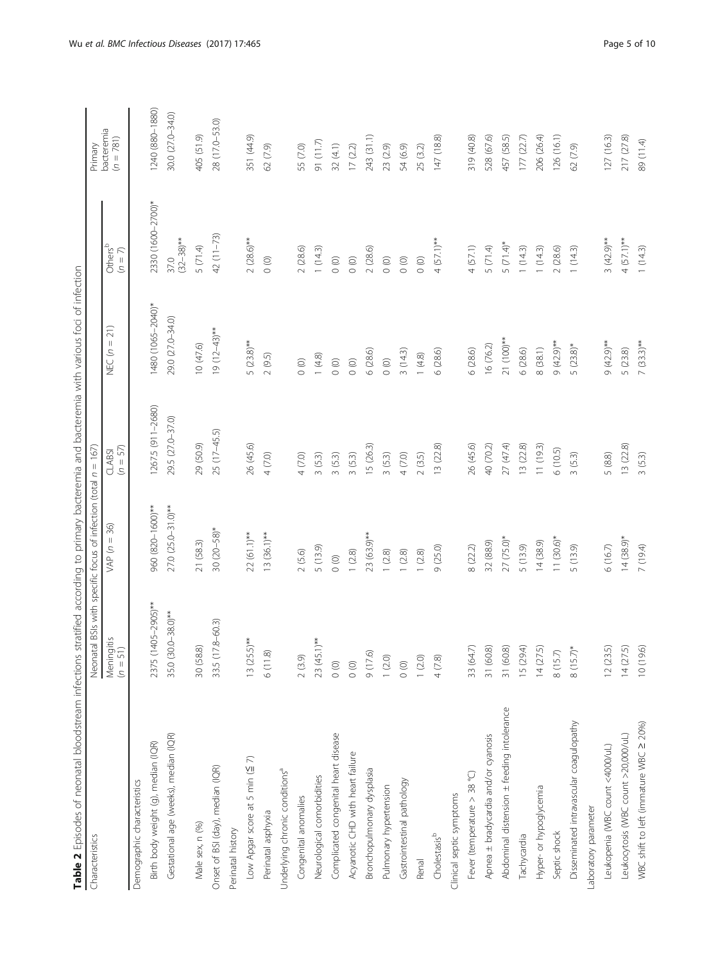<span id="page-4-0"></span>

| Table 2 Episodes of neonatal bloodstream infections stratified according to primary bacteremia and bacteremia with various foci of infection |                          |                                                                                  |                      |                                                   |                                |                                      |
|----------------------------------------------------------------------------------------------------------------------------------------------|--------------------------|----------------------------------------------------------------------------------|----------------------|---------------------------------------------------|--------------------------------|--------------------------------------|
| Characteristics                                                                                                                              | Meningitis<br>$(n = 51)$ | Neonatal BSIs with specific focus of infection (total n = 167)<br>$VAP (n = 36)$ | $(n = 57)$<br>CLABSI | 21)<br>$\, \parallel$<br>$\epsilon$<br><b>VEC</b> | Others <sup>b</sup><br>$(n=7)$ | bacteremia<br>$(n = 781)$<br>Primary |
| Demographic characteristics                                                                                                                  |                          |                                                                                  |                      |                                                   |                                |                                      |
| Birth body weight (g), median (IQR)                                                                                                          | 2375 (1405-2905)**       | 960 (820-1600)**                                                                 | 1267.5 (911-2680)    | 1480 (1065-2040)*                                 | 2330 (1600-2700)*              | 1240 (880-1880)                      |
| Gestational age (weeks), median (IQR)                                                                                                        | 35.0 (30.0-38.0)**       | 27.0 (25.0-31.0) ***                                                             | 29.5 (27.0-37.0)     | 29.0 (27.0-34.0)                                  | $(32 - 38)$ **<br>37.0         | 30.0 (27.0-34.0)                     |
| Male sex, n (%)                                                                                                                              | 30 (58.8)                | 21 (58.3)                                                                        | 29 (50.9)            | 10(47.6)                                          | 5 (71.4)                       | 405 (51.9)                           |
| Onset of BSI (day), median (IQR)                                                                                                             | 33.5 (17.8-60.3)         | $30(20-58)*$                                                                     | 25 (17-45.5)         | $19(12-43)$ **                                    | $42(11-73)$                    | 28 (17.0-53.0)                       |
| Perinatal history                                                                                                                            |                          |                                                                                  |                      |                                                   |                                |                                      |
| Low Apgar score at 5 min (5 7)                                                                                                               | $13(25.5)$ **            | $22(61.1)$ **                                                                    | 26 (45.6)            | $5(23.8)$ **                                      | $2(28.6)$ **                   | 351 (44.9)                           |
| Perinatal asphyxia                                                                                                                           | 6(11.8)                  | $13(36.1)$ **                                                                    | $4(7.0)$             | 2(9.5)                                            | $\circ$                        | 62 (7.9)                             |
| Underlying chronic conditions <sup>ª</sup>                                                                                                   |                          |                                                                                  |                      |                                                   |                                |                                      |
| Congenital anomalies                                                                                                                         | 2(3.9)                   | 2(5.6)                                                                           | 4 (7.0)              | $\circ$                                           | 2(28.6)                        | 55 (7.0)                             |
| Neurological comorbidities                                                                                                                   | 23 (45.1)**              | 5 (13.9)                                                                         | 3(5.3)               | (4.8)                                             | 1(14.3)                        | 91 (11.7)                            |
| Complicated congenital heart disease                                                                                                         | $\circ$                  | $\circ$                                                                          | 3(5.3)               | $\circ$                                           | $\circ$                        | 32(4.1)                              |
| Acyanotic CHD with heart failure                                                                                                             | $\circ$                  | 1(2.8)                                                                           | 3(5.3)               | $\circ$                                           | $\circ$                        | 17(2.2)                              |
| Bronchopulmonary dysplasia                                                                                                                   | 9(17.6)                  | 23 (63.9)**                                                                      | 15 (26.3)            | 6 (28.6)                                          | 2(28.6)                        | 243 (31.1)                           |
| Pulmonary hypertension                                                                                                                       | 1(2.0)                   | 1(2.8)                                                                           | 3(5.3)               | $\circ$                                           | $\hbox{O}$ (0)                 | 23 (2.9)                             |
| Gastrointestinal pathology                                                                                                                   | $\circ$                  | 1(2.8)                                                                           | $4(7.0)$             | 3(14.3)                                           | $\circ$                        | 54 (6.9)                             |
| Renal                                                                                                                                        | 1(2.0)                   | 1(2.8)                                                                           | 2(3.5)               | (4.8)                                             | $\circ$                        | 25 (3.2)                             |
| Cholestasis <sup>b</sup>                                                                                                                     | 4(7.8)                   | 9(25.0)                                                                          | 13 (22.8)            | 6 (28.6)                                          | $4 (57.1)$ **                  | 147 (18.8)                           |
| Clinical septic symptoms                                                                                                                     |                          |                                                                                  |                      |                                                   |                                |                                      |
| Fever (temperature > 38 °C)                                                                                                                  | 33 (64.7)                | 8(22.2)                                                                          | 26 (45.6)            | 6(28.6)                                           | 4(57.1)                        | 319 (40.8)                           |
| Apnea ± bradycardia and/or cyanosis                                                                                                          | 31 (60.8)                | 32 (88.9)                                                                        | 40 (70.2)            | 16 (76.2)                                         | 5(71.4)                        | 528 (67.6)                           |
| Abdominal distension ± feeding intolerance                                                                                                   | 31 (60.8)                | 27 (75.0)                                                                        | 27 (47.4)            | $21(100)*$                                        | 5(71.4)                        | 457 (58.5)                           |
| Tachycardia                                                                                                                                  | 15 (29.4)                | 5 (13.9)                                                                         | 13 (22.8)            | 6(28.6)                                           | 1(14.3)                        | 177(22.7)                            |
| Hyper- or hypoglycemia                                                                                                                       | 14(27.5)                 | 14(38.9)                                                                         | 11 (19.3)            | 8(38.1)                                           | 1(14.3)                        | 206 (26.4)                           |
| Septic shock                                                                                                                                 | 8 (15.7)                 | $11 (30.6)^*$                                                                    | 6(10.5)              | $9(42.9)$ **                                      | 2(28.6)                        | 126 (16.1)                           |
| Disseminated intravascular coagulopathy                                                                                                      | $8(15.7)$ *              | 5 (13.9)                                                                         | 3(5.3)               | $5(23.8)$ *                                       | 1(14.3)                        | 62 (7.9)                             |
| Laboratory parameter                                                                                                                         |                          |                                                                                  |                      |                                                   |                                |                                      |
| Leukopenia (WBC count <4000/uL)                                                                                                              | 12(23.5)                 | 6(16.7)                                                                          | 5(8.8)               | $9(42.9)$ **                                      | $3(42.9)$ **                   | 127 (16.3)                           |
| Leukocytosis (WBC count >20,000/uL)                                                                                                          | 14(27.5)                 | $14 (38.9)^{*}$                                                                  | 13 (22.8)            | 5 (23.8)                                          | $4 (57.1)$ **                  | 217 (27.8)                           |
| WBC shift to left (immature WBC ≥ 20%)                                                                                                       | 10(19.6)                 | 7 (19.4)                                                                         | 3(5.3)               | $7(33.3)$ **                                      | 1(14.3)                        | 89 (11.4)                            |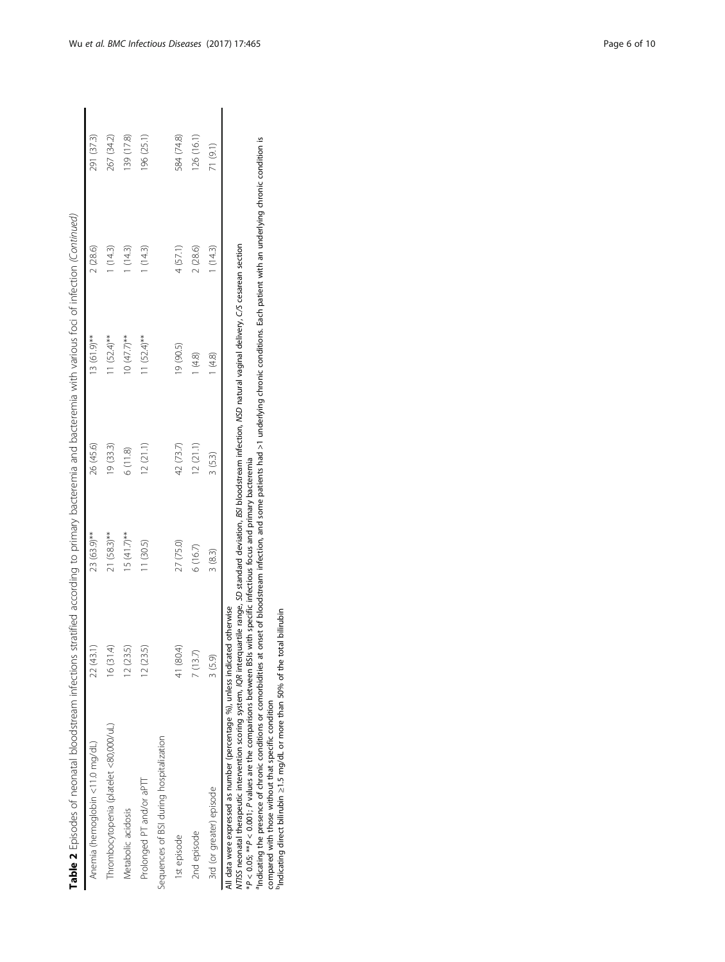| Table 2 Episodes of neonatal bloodstream infections                        |           |                |           | stratified according to primary bacteremia and bacteremia with various foci of infection (Continued) |         |            |
|----------------------------------------------------------------------------|-----------|----------------|-----------|------------------------------------------------------------------------------------------------------|---------|------------|
| Anemia (hemoglobin <11.0 mg/dL)                                            | 22 (43.1  | 23 (63.9)**    | 26 (45.6) | $13(61.9)$ **                                                                                        | 2(28.6) | 291 (37.3) |
| Thrombocytopenia (platelet <80,000/uL)                                     | 16 (31.4) | $21 (58.3)***$ | 19(33.3)  | $1 (52.4)***$                                                                                        | (14.3)  | 267 (34.2) |
| Metabolic acidosis                                                         | 12(23.5)  | $15(41.7)$ **  | 6(11.8)   | $10(47.7)$ **                                                                                        | (14.3)  | 139 (17.8) |
| Prolonged PT and/or aPTT                                                   | 12 (23.5) | 1(30.5)        | 12(21.1)  | $1 (52.4)$ **                                                                                        | (14.3)  | 196 (25.1) |
| Sequences of BSI during hospitalization                                    |           |                |           |                                                                                                      |         |            |
| 1st episode                                                                | 41 (80.4) | 27 (75.0)      | 42 (73.7) | 19 (90.5)                                                                                            | (57.1)  | 584 (74.8) |
| 2nd episode                                                                | 7(13.7)   | 6(16.7)        | 12(21.1)  | (4.8)                                                                                                | 2(28.6) | 126 (16.1) |
| 3rd (or greater) episode                                                   | 3(5.9)    | (8.3)          | 3(5.3)    | (4.8)                                                                                                | (14.3)  | (1.61)     |
| all data waxa ayaasad ac mumbor (porcontago 04) unloce indicatod othomulco |           |                |           |                                                                                                      |         |            |

 $\ddot{\phantom{a}}$  $\overline{\phantom{a}}$ ؛<br>پ  $\ddot{\phantom{a}}$  $\overline{a}$  $\frac{1}{7}$ ٽ  $\overline{a}$ ं  $\ddot{\phantom{a}}$  $\overline{\mathcal{L}}$ 

All data were expressed as number (percentage %), unless indicated otherwise

NTISS neonatal therapeutic intervention scoring system, IQR interquartile range, SD standard deviation, BSI bloodstream infection, NSD natural vaginal delivery, C/S cesarean section

Indicating the presence of chronic conditions or comorbidities at onset of bloodstream infection, and some patients had >1 underlying chronic conditions. Each patient with an underlying chronic condition is \*P < 0.05; \*\*P < 0.001; P values are the comparisons between BSIs with specific infectious focus and primary bacteremia compared with those without that specific condition

bIndicating direct bilirubin ≥1.5 mg/dL or more than 50% of the total bilirubin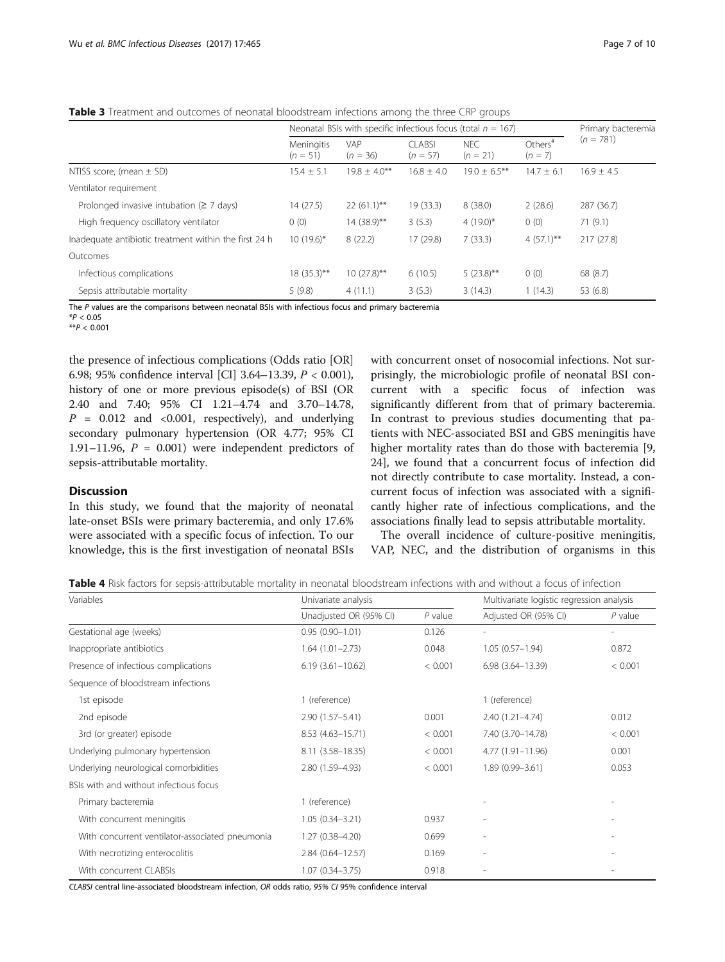<span id="page-6-0"></span>Table 3 Treatment and outcomes of neonatal bloodstream infections among the three CRP groups

|                                                       |                          | Neonatal BSIs with specific infectious focus (total $n = 167$ ) |                             |                          |                         | Primary bacteremia |
|-------------------------------------------------------|--------------------------|-----------------------------------------------------------------|-----------------------------|--------------------------|-------------------------|--------------------|
|                                                       | Meningitis<br>$(n = 51)$ | <b>VAP</b><br>$(n = 36)$                                        | <b>CLABSI</b><br>$(n = 57)$ | <b>NEC</b><br>$(n = 21)$ | Others $#$<br>$(n = 7)$ | $(n = 781)$        |
| NTISS score, (mean $\pm$ SD)                          | $15.4 \pm 5.1$           | $19.8 + 4.0***$                                                 | $16.8 \pm 4.0$              | $19.0 + 6.5***$          | $14.7 + 6.1$            | $16.9 + 4.5$       |
| Ventilator requirement                                |                          |                                                                 |                             |                          |                         |                    |
| Prolonged invasive intubation ( $\geq$ 7 days)        | 14(27.5)                 | $22(61.1)$ **                                                   | 19 (33.3)                   | 8(38.0)                  | 2(28.6)                 | 287 (36.7)         |
| High frequency oscillatory ventilator                 | 0(0)                     | 14 (38.9)**                                                     | 3(5.3)                      | 4 $(19.0)$ *             | 0(0)                    | 71(9.1)            |
| Inadequate antibiotic treatment within the first 24 h | $10(19.6)$ *             | 8(22.2)                                                         | 17 (29.8)                   | 7(33.3)                  | $4(57.1)$ **            | 217(27.8)          |
| Outcomes                                              |                          |                                                                 |                             |                          |                         |                    |
| Infectious complications                              | $18(35.3)$ **            | $10(27.8)$ **                                                   | 6(10.5)                     | $5(23.8)$ **             | 0(0)                    | 68 (8.7)           |
| Sepsis attributable mortality                         | 5(9.8)                   | 4(11.1)                                                         | 3(5.3)                      | 3(14.3)                  | (14.3)                  | 53 (6.8)           |

The P values are the comparisons between neonatal BSIs with infectious focus and primary bacteremia

 $*P < 0.05$  $* p < 0.001$ 

the presence of infectious complications (Odds ratio [OR] 6.98; 95% confidence interval [CI] 3.64–13.39, P < 0.001), history of one or more previous episode(s) of BSI (OR 2.40 and 7.40; 95% CI 1.21–4.74 and 3.70–14.78,  $P = 0.012$  and <0.001, respectively), and underlying secondary pulmonary hypertension (OR 4.77; 95% CI 1.91–11.96,  $P = 0.001$ ) were independent predictors of sepsis-attributable mortality.

## **Discussion**

In this study, we found that the majority of neonatal late-onset BSIs were primary bacteremia, and only 17.6% were associated with a specific focus of infection. To our knowledge, this is the first investigation of neonatal BSIs with concurrent onset of nosocomial infections. Not surprisingly, the microbiologic profile of neonatal BSI concurrent with a specific focus of infection was significantly different from that of primary bacteremia. In contrast to previous studies documenting that patients with NEC-associated BSI and GBS meningitis have higher mortality rates than do those with bacteremia [[9](#page-8-0), [24\]](#page-9-0), we found that a concurrent focus of infection did not directly contribute to case mortality. Instead, a concurrent focus of infection was associated with a significantly higher rate of infectious complications, and the associations finally lead to sepsis attributable mortality.

The overall incidence of culture-positive meningitis, VAP, NEC, and the distribution of organisms in this

Table 4 Risk factors for sepsis-attributable mortality in neonatal bloodstream infections with and without a focus of infection

| Variables                                       | Univariate analysis    |           | Multivariate logistic regression analysis |                          |
|-------------------------------------------------|------------------------|-----------|-------------------------------------------|--------------------------|
|                                                 | Unadjusted OR (95% CI) | $P$ value | Adjusted OR (95% CI)                      | $P$ value                |
| Gestational age (weeks)                         | $0.95(0.90 - 1.01)$    | 0.126     |                                           | $\overline{\phantom{a}}$ |
| Inappropriate antibiotics                       | $1.64(1.01 - 2.73)$    | 0.048     | $1.05(0.57 - 1.94)$                       | 0.872                    |
| Presence of infectious complications            | $6.19(3.61 - 10.62)$   | < 0.001   | $6.98(3.64 - 13.39)$                      | < 0.001                  |
| Sequence of bloodstream infections              |                        |           |                                           |                          |
| 1st episode                                     | 1 (reference)          |           | 1 (reference)                             |                          |
| 2nd episode                                     | 2.90 (1.57-5.41)       | 0.001     | $2.40(1.21 - 4.74)$                       | 0.012                    |
| 3rd (or greater) episode                        | 8.53 (4.63-15.71)      | < 0.001   | 7.40 (3.70-14.78)                         | < 0.001                  |
| Underlying pulmonary hypertension               | 8.11 (3.58-18.35)      | < 0.001   | 4.77 (1.91-11.96)                         | 0.001                    |
| Underlying neurological comorbidities           | 2.80 (1.59-4.93)       | < 0.001   | 1.89 (0.99-3.61)                          | 0.053                    |
| BSIs with and without infectious focus          |                        |           |                                           |                          |
| Primary bacteremia                              | 1 (reference)          |           |                                           |                          |
| With concurrent meningitis                      | $1.05(0.34 - 3.21)$    | 0.937     |                                           |                          |
| With concurrent ventilator-associated pneumonia | 1.27 (0.38-4.20)       | 0.699     |                                           | $\overline{\phantom{a}}$ |
| With necrotizing enterocolitis                  | 2.84 (0.64-12.57)      | 0.169     |                                           |                          |
| With concurrent CLABSIs                         | $1.07(0.34 - 3.75)$    | 0.918     |                                           |                          |

CLABSI central line-associated bloodstream infection, OR odds ratio, 95% CI 95% confidence interval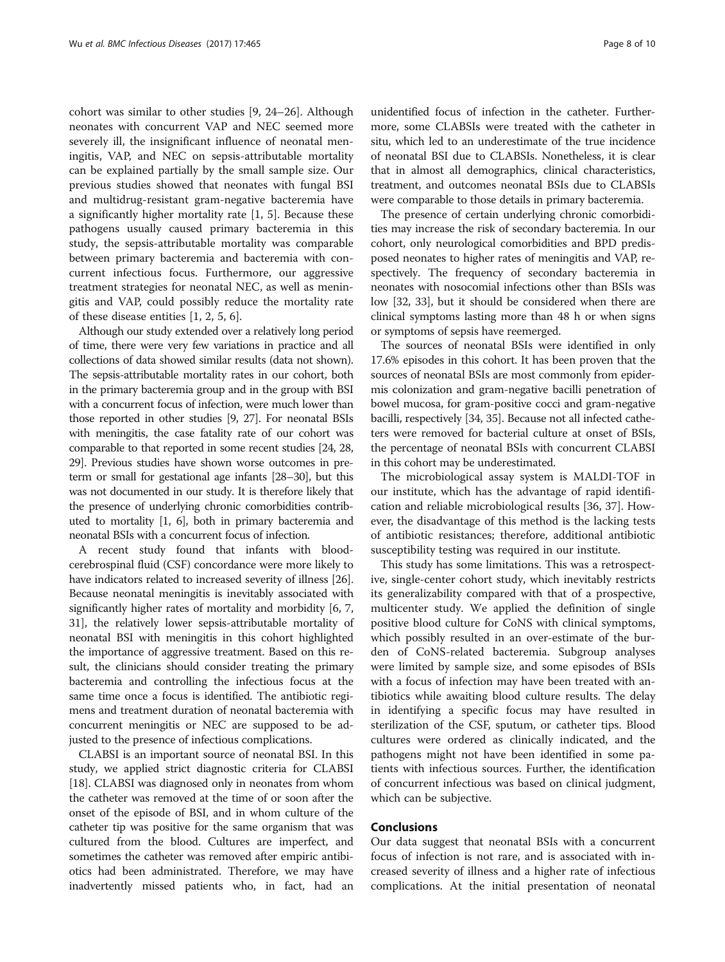cohort was similar to other studies [[9](#page-8-0), [24](#page-9-0)–[26](#page-9-0)]. Although neonates with concurrent VAP and NEC seemed more severely ill, the insignificant influence of neonatal meningitis, VAP, and NEC on sepsis-attributable mortality can be explained partially by the small sample size. Our previous studies showed that neonates with fungal BSI and multidrug-resistant gram-negative bacteremia have a significantly higher mortality rate [\[1](#page-8-0), [5\]](#page-8-0). Because these pathogens usually caused primary bacteremia in this study, the sepsis-attributable mortality was comparable between primary bacteremia and bacteremia with concurrent infectious focus. Furthermore, our aggressive treatment strategies for neonatal NEC, as well as meningitis and VAP, could possibly reduce the mortality rate of these disease entities [[1, 2, 5, 6\]](#page-8-0).

Although our study extended over a relatively long period of time, there were very few variations in practice and all collections of data showed similar results (data not shown). The sepsis-attributable mortality rates in our cohort, both in the primary bacteremia group and in the group with BSI with a concurrent focus of infection, were much lower than those reported in other studies [\[9,](#page-8-0) [27](#page-9-0)]. For neonatal BSIs with meningitis, the case fatality rate of our cohort was comparable to that reported in some recent studies [[24](#page-9-0), [28](#page-9-0), [29](#page-9-0)]. Previous studies have shown worse outcomes in preterm or small for gestational age infants [\[28](#page-9-0)–[30\]](#page-9-0), but this was not documented in our study. It is therefore likely that the presence of underlying chronic comorbidities contributed to mortality [[1, 6\]](#page-8-0), both in primary bacteremia and neonatal BSIs with a concurrent focus of infection.

A recent study found that infants with bloodcerebrospinal fluid (CSF) concordance were more likely to have indicators related to increased severity of illness [[26](#page-9-0)]. Because neonatal meningitis is inevitably associated with significantly higher rates of mortality and morbidity [\[6](#page-8-0), [7](#page-8-0), [31](#page-9-0)], the relatively lower sepsis-attributable mortality of neonatal BSI with meningitis in this cohort highlighted the importance of aggressive treatment. Based on this result, the clinicians should consider treating the primary bacteremia and controlling the infectious focus at the same time once a focus is identified. The antibiotic regimens and treatment duration of neonatal bacteremia with concurrent meningitis or NEC are supposed to be adjusted to the presence of infectious complications.

CLABSI is an important source of neonatal BSI. In this study, we applied strict diagnostic criteria for CLABSI [[18](#page-8-0)]. CLABSI was diagnosed only in neonates from whom the catheter was removed at the time of or soon after the onset of the episode of BSI, and in whom culture of the catheter tip was positive for the same organism that was cultured from the blood. Cultures are imperfect, and sometimes the catheter was removed after empiric antibiotics had been administrated. Therefore, we may have inadvertently missed patients who, in fact, had an

unidentified focus of infection in the catheter. Furthermore, some CLABSIs were treated with the catheter in situ, which led to an underestimate of the true incidence of neonatal BSI due to CLABSIs. Nonetheless, it is clear that in almost all demographics, clinical characteristics, treatment, and outcomes neonatal BSIs due to CLABSIs were comparable to those details in primary bacteremia.

The presence of certain underlying chronic comorbidities may increase the risk of secondary bacteremia. In our cohort, only neurological comorbidities and BPD predisposed neonates to higher rates of meningitis and VAP, respectively. The frequency of secondary bacteremia in neonates with nosocomial infections other than BSIs was low [[32](#page-9-0), [33\]](#page-9-0), but it should be considered when there are clinical symptoms lasting more than 48 h or when signs or symptoms of sepsis have reemerged.

The sources of neonatal BSIs were identified in only 17.6% episodes in this cohort. It has been proven that the sources of neonatal BSIs are most commonly from epidermis colonization and gram-negative bacilli penetration of bowel mucosa, for gram-positive cocci and gram-negative bacilli, respectively [\[34, 35](#page-9-0)]. Because not all infected catheters were removed for bacterial culture at onset of BSIs, the percentage of neonatal BSIs with concurrent CLABSI in this cohort may be underestimated.

The microbiological assay system is MALDI-TOF in our institute, which has the advantage of rapid identification and reliable microbiological results [\[36](#page-9-0), [37](#page-9-0)]. However, the disadvantage of this method is the lacking tests of antibiotic resistances; therefore, additional antibiotic susceptibility testing was required in our institute.

This study has some limitations. This was a retrospective, single-center cohort study, which inevitably restricts its generalizability compared with that of a prospective, multicenter study. We applied the definition of single positive blood culture for CoNS with clinical symptoms, which possibly resulted in an over-estimate of the burden of CoNS-related bacteremia. Subgroup analyses were limited by sample size, and some episodes of BSIs with a focus of infection may have been treated with antibiotics while awaiting blood culture results. The delay in identifying a specific focus may have resulted in sterilization of the CSF, sputum, or catheter tips. Blood cultures were ordered as clinically indicated, and the pathogens might not have been identified in some patients with infectious sources. Further, the identification of concurrent infectious was based on clinical judgment, which can be subjective.

## Conclusions

Our data suggest that neonatal BSIs with a concurrent focus of infection is not rare, and is associated with increased severity of illness and a higher rate of infectious complications. At the initial presentation of neonatal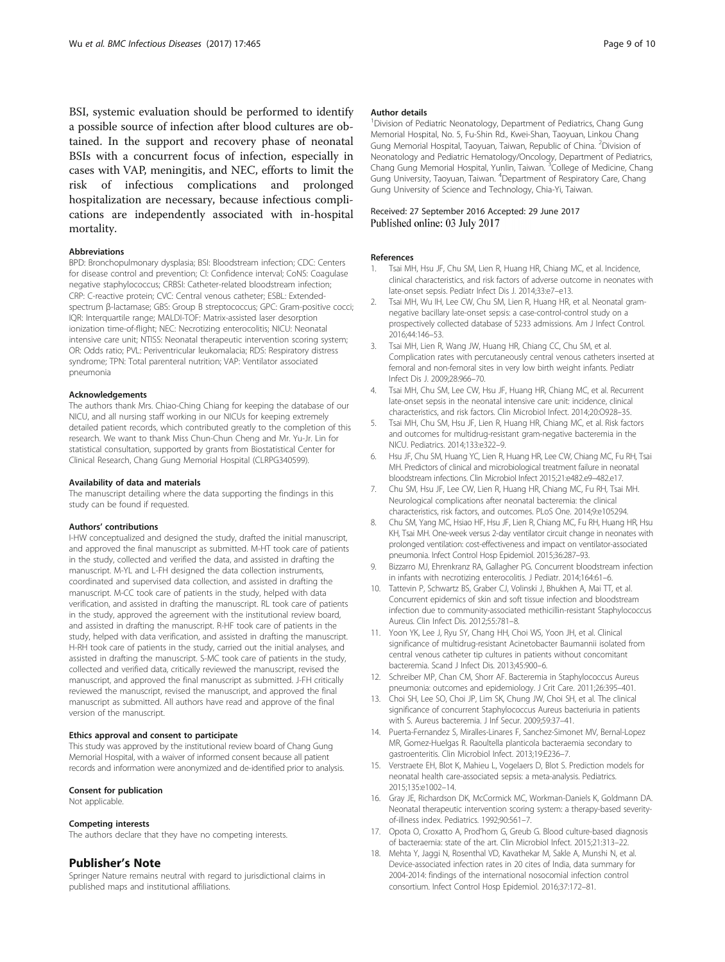<span id="page-8-0"></span>BSI, systemic evaluation should be performed to identify a possible source of infection after blood cultures are obtained. In the support and recovery phase of neonatal BSIs with a concurrent focus of infection, especially in cases with VAP, meningitis, and NEC, efforts to limit the risk of infectious complications and prolonged hospitalization are necessary, because infectious complications are independently associated with in-hospital mortality.

#### Abbreviations

BPD: Bronchopulmonary dysplasia; BSI: Bloodstream infection; CDC: Centers for disease control and prevention; CI: Confidence interval; CoNS: Coagulase negative staphylococcus; CRBSI: Catheter-related bloodstream infection; CRP: C-reactive protein; CVC: Central venous catheter; ESBL: Extendedspectrum β-lactamase; GBS: Group B streptococcus; GPC: Gram-positive cocci; IQR: Interquartile range; MALDI-TOF: Matrix-assisted laser desorption ionization time-of-flight; NEC: Necrotizing enterocolitis; NICU: Neonatal intensive care unit; NTISS: Neonatal therapeutic intervention scoring system; OR: Odds ratio; PVL: Periventricular leukomalacia; RDS: Respiratory distress syndrome; TPN: Total parenteral nutrition; VAP: Ventilator associated pneumonia

#### Acknowledgements

The authors thank Mrs. Chiao-Ching Chiang for keeping the database of our NICU, and all nursing staff working in our NICUs for keeping extremely detailed patient records, which contributed greatly to the completion of this research. We want to thank Miss Chun-Chun Cheng and Mr. Yu-Jr. Lin for statistical consultation, supported by grants from Biostatistical Center for Clinical Research, Chang Gung Memorial Hospital (CLRPG340599).

#### Availability of data and materials

The manuscript detailing where the data supporting the findings in this study can be found if requested.

#### Authors' contributions

I-HW conceptualized and designed the study, drafted the initial manuscript, and approved the final manuscript as submitted. M-HT took care of patients in the study, collected and verified the data, and assisted in drafting the manuscript. M-YL and L-FH designed the data collection instruments, coordinated and supervised data collection, and assisted in drafting the manuscript. M-CC took care of patients in the study, helped with data verification, and assisted in drafting the manuscript. RL took care of patients in the study, approved the agreement with the institutional review board, and assisted in drafting the manuscript. R-HF took care of patients in the study, helped with data verification, and assisted in drafting the manuscript. H-RH took care of patients in the study, carried out the initial analyses, and assisted in drafting the manuscript. S-MC took care of patients in the study, collected and verified data, critically reviewed the manuscript, revised the manuscript, and approved the final manuscript as submitted. J-FH critically reviewed the manuscript, revised the manuscript, and approved the final manuscript as submitted. All authors have read and approve of the final version of the manuscript.

#### Ethics approval and consent to participate

This study was approved by the institutional review board of Chang Gung Memorial Hospital, with a waiver of informed consent because all patient records and information were anonymized and de-identified prior to analysis.

#### Consent for publication

Not applicable.

#### Competing interests

The authors declare that they have no competing interests.

#### Publisher's Note

Springer Nature remains neutral with regard to jurisdictional claims in published maps and institutional affiliations.

#### Author details

<sup>1</sup> Division of Pediatric Neonatology, Department of Pediatrics, Chang Gung Memorial Hospital, No. 5, Fu-Shin Rd., Kwei-Shan, Taoyuan, Linkou Chang Gung Memorial Hospital, Taoyuan, Taiwan, Republic of China. <sup>2</sup>Division of Neonatology and Pediatric Hematology/Oncology, Department of Pediatrics, Chang Gung Memorial Hospital, Yunlin, Taiwan. <sup>3</sup>College of Medicine, Chang Gung University, Taoyuan, Taiwan. <sup>4</sup> Department of Respiratory Care, Chang Gung University of Science and Technology, Chia-Yi, Taiwan.

## Received: 27 September 2016 Accepted: 29 June 2017 Published online: 03 July 2017

#### References

- Tsai MH, Hsu JF, Chu SM, Lien R, Huang HR, Chiang MC, et al. Incidence, clinical characteristics, and risk factors of adverse outcome in neonates with late-onset sepsis. Pediatr Infect Dis J. 2014;33:e7–e13.
- 2. Tsai MH, Wu IH, Lee CW, Chu SM, Lien R, Huang HR, et al. Neonatal gramnegative bacillary late-onset sepsis: a case-control-control study on a prospectively collected database of 5233 admissions. Am J Infect Control. 2016;44:146–53.
- 3. Tsai MH, Lien R, Wang JW, Huang HR, Chiang CC, Chu SM, et al. Complication rates with percutaneously central venous catheters inserted at femoral and non-femoral sites in very low birth weight infants. Pediatr Infect Dis J. 2009;28:966–70.
- 4. Tsai MH, Chu SM, Lee CW, Hsu JF, Huang HR, Chiang MC, et al. Recurrent late-onset sepsis in the neonatal intensive care unit: incidence, clinical characteristics, and risk factors. Clin Microbiol Infect. 2014;20:O928–35.
- Tsai MH, Chu SM, Hsu JF, Lien R, Huang HR, Chiang MC, et al. Risk factors and outcomes for multidrug-resistant gram-negative bacteremia in the NICU. Pediatrics. 2014;133:e322–9.
- 6. Hsu JF, Chu SM, Huang YC, Lien R, Huang HR, Lee CW, Chiang MC, Fu RH, Tsai MH. Predictors of clinical and microbiological treatment failure in neonatal bloodstream infections. Clin Microbiol Infect 2015;21:e482.e9–482.e17.
- 7. Chu SM, Hsu JF, Lee CW, Lien R, Huang HR, Chiang MC, Fu RH, Tsai MH. Neurological complications after neonatal bacteremia: the clinical characteristics, risk factors, and outcomes. PLoS One. 2014;9:e105294.
- 8. Chu SM, Yang MC, Hsiao HF, Hsu JF, Lien R, Chiang MC, Fu RH, Huang HR, Hsu KH, Tsai MH. One-week versus 2-day ventilator circuit change in neonates with prolonged ventilation: cost-effectiveness and impact on ventilator-associated pneumonia. Infect Control Hosp Epidemiol. 2015;36:287–93.
- 9. Bizzarro MJ, Ehrenkranz RA, Gallagher PG. Concurrent bloodstream infection in infants with necrotizing enterocolitis. J Pediatr. 2014;164:61–6.
- 10. Tattevin P, Schwartz BS, Graber CJ, Volinski J, Bhukhen A, Mai TT, et al. Concurrent epidemics of skin and soft tissue infection and bloodstream infection due to community-associated methicillin-resistant Staphylococcus Aureus. Clin Infect Dis. 2012;55:781–8.
- 11. Yoon YK, Lee J, Ryu SY, Chang HH, Choi WS, Yoon JH, et al. Clinical significance of multidrug-resistant Acinetobacter Baumannii isolated from central venous catheter tip cultures in patients without concomitant bacteremia. Scand J Infect Dis. 2013;45:900–6.
- 12. Schreiber MP, Chan CM, Shorr AF. Bacteremia in Staphylococcus Aureus pneumonia: outcomes and epidemiology. J Crit Care. 2011;26:395–401.
- 13. Choi SH, Lee SO, Choi JP, Lim SK, Chung JW, Choi SH, et al. The clinical significance of concurrent Staphylococcus Aureus bacteriuria in patients with S. Aureus bacteremia. J Inf Secur. 2009;59:37–41.
- 14. Puerta-Fernandez S, Miralles-Linares E, Sanchez-Simonet MV, Bernal-Lopez MR, Gomez-Huelgas R. Raoultella planticola bacteraemia secondary to gastroenteritis. Clin Microbiol Infect. 2013;19:E236–7.
- 15. Verstraete EH, Blot K, Mahieu L, Vogelaers D, Blot S. Prediction models for neonatal health care-associated sepsis: a meta-analysis. Pediatrics. 2015;135:e1002–14.
- 16. Gray JE, Richardson DK, McCormick MC, Workman-Daniels K, Goldmann DA. Neonatal therapeutic intervention scoring system: a therapy-based severityof-illness index. Pediatrics. 1992;90:561–7.
- 17. Opota O, Croxatto A, Prod'hom G, Greub G. Blood culture-based diagnosis of bacteraemia: state of the art. Clin Microbiol Infect. 2015;21:313–22.
- 18. Mehta Y, Jaggi N, Rosenthal VD, Kavathekar M, Sakle A, Munshi N, et al. Device-associated infection rates in 20 cites of India, data summary for 2004-2014: findings of the international nosocomial infection control consortium. Infect Control Hosp Epidemiol. 2016;37:172–81.